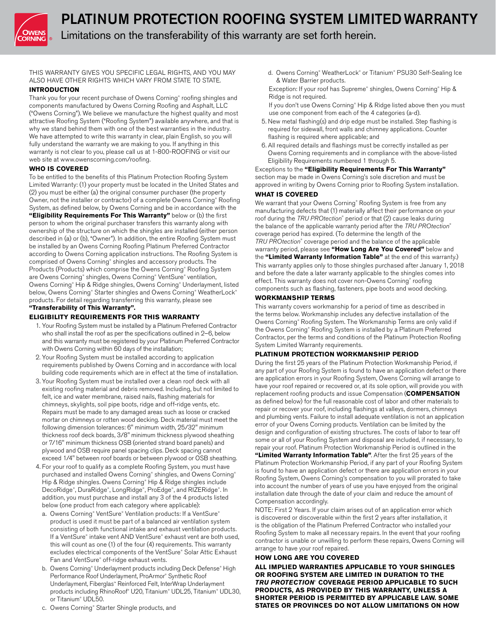

Limitations on the transferability of this warranty are set forth herein.

THIS WARRANTY GIVES YOU SPECIFIC LEGAL RIGHTS, AND YOU MAY ALSO HAVE OTHER RIGHTS WHICH VARY FROM STATE TO STATE.

# **INTRODUCTION**

Thank you for your recent purchase of Owens Corning® roofing shingles and components manufactured by Owens Corning Roofing and Asphalt, LLC ("Owens Corning"). We believe we manufacture the highest quality and most attractive Roofing System ("Roofing System") available anywhere, and that is why we stand behind them with one of the best warranties in the industry. We have attempted to write this warranty in clear, plain English, so you will fully understand the warranty we are making to you. If anything in this warranty is not clear to you, please call us at 1-800-ROOFING or visit our web site at www.owenscorning.com/roofing.

# **WHO IS COVERED**

To be entitled to the benefits of this Platinum Protection Roofing System Limited Warranty: (1) your property must be located in the United States and (2) you must be either (a) the original consumer purchaser (the property Owner, not the installer or contractor) of a complete Owens Corning® Roofing System, as defined below, by Owens Corning and be in accordance with the **"Eligibility Requirements For This Warranty"** below or (b) the first person to whom the original purchaser transfers this warranty along with ownership of the structure on which the shingles are installed (either person described in (a) or (b), "Owner"). In addition, the entire Roofing System must be installed by an Owens Corning Roofing Platinum Preferred Contractor according to Owens Corning application instructions. The Roofing System is comprised of Owens Corning® shingles and accessory products. The Products (Products) which comprise the Owens Corning® Roofing System are Owens Corning® shingles, Owens Corning® VentSure® ventilation, Owens Corning<sup>®</sup> Hip & Ridge shingles, Owens Corning® Underlayment, listed below, Owens Corning® Starter shingles and Owens Corning® WeatherLock® products. For detail regarding transferring this warranty, please see **"Transferability of This Warranty".**

# **ELIGIBILITY REQUIREMENTS FOR THIS WARRANTY**

- 1. Your Roofing System must be installed by a Platinum Preferred Contractor who shall install the roof as per the specifications outlined in 2–6, below and this warranty must be registered by your Platinum Preferred Contractor with Owens Corning within 60 days of the installation;
- 2. Your Roofing System must be installed according to application requirements published by Owens Corning and in accordance with local building code requirements which are in effect at the time of installation.
- 3. Your Roofing System must be installed over a clean roof deck with all existing roofing material and debris removed. Including, but not limited to felt, ice and water membrane, raised nails, flashing materials for chimneys, skylights, soil pipe boots, ridge and off-ridge vents, etc. Repairs must be made to any damaged areas such as loose or cracked mortar on chimneys or rotten wood decking. Deck material must meet the following dimension tolerances: 6" minimum width, 25/32" minimum thickness roof deck boards, 3/8" minimum thickness plywood sheathing or 7/16" minimum thickness OSB (oriented strand board panels) and plywood and OSB require panel spacing clips. Deck spacing cannot exceed 1/4" between roof boards or between plywood or OSB sheathing.
- 4. For your roof to qualify as a complete Roofing System, you must have purchased and installed Owens Corning® shingles, and Owens Corning® Hip & Ridge shingles. Owens Corning® Hip & Ridge shingles include DecoRidge®, DuraRidge®, LongRidge®, ProEdge®, and RIZERidge®. In addition, you must purchase and install any 3 of the 4 products listed below (one product from each category where applicable):
	- a. Owens Corning® VentSure® Ventilation products: If a VentSure® product is used it must be part of a balanced air ventilation system consisting of both functional intake and exhaust ventilation products. If a VentSure® intake vent AND VentSure® exhaust vent are both used, this will count as one (1) of the four (4) requirements. This warranty excludes electrical components of the VentSure® Solar Attic Exhaust Fan and VentSure® off-ridge exhaust vents.
	- b. Owens Corning<sup>®</sup> Underlayment products including Deck Defense® High Performance Roof Underlayment, ProArmor® Synthetic Roof Underlayment, Fiberglas™ Reinforced Felt, InterWrap Underlayment products including RhinoRoof® U20, Titanium® UDL25, Titanium® UDL30, or Titanium® UDL50.
	- c. Owens Corning® Starter Shingle products, and
- d. Owens Corning® WeatherLock® or Titanium® PSU30 Self-Sealing Ice & Water Barrier products.
- Exception: If your roof has Supreme® shingles, Owens Corning® Hip & Ridge is not required.
- If you don't use Owens Corning® Hip & Ridge listed above then you must use one component from each of the 4 categories (a-d).
- 5. New metal flashing(s) and drip edge must be installed. Step flashing is required for sidewall, front walls and chimney applications. Counter flashing is required where applicable; and
- 6. All required details and flashings must be correctly installed as per Owens Corning requirements and in compliance with the above-listed Eligibility Requirements numbered 1 through 5.

# Exceptions to the **"Eligibility Requirements For This Warranty"** section may be made in Owens Corning's sole discretion and must be approved in writing by Owens Corning prior to Roofing System installation.

# **WHAT IS COVERED**

We warrant that your Owens Corning® Roofing System is free from any manufacturing defects that (1) materially affect their performance on your roof during the *TRU PROtection*® period or that (2) cause leaks during the balance of the applicable warranty period after the *TRU PROtection*® coverage period has expired. (To determine the length of the *TRU PROtection*® coverage period and the balance of the applicable warranty period, please see **"How Long Are You Covered"** below and the **"Limited Warranty Information Table"** at the end of this warranty.) This warranty applies only to those shingles purchased after January 1, 2018 and before the date a later warranty applicable to the shingles comes into effect. This warranty does not cover non-Owens Corning® roofing components such as flashing, fasteners, pipe boots and wood decking.

# **WORKMANSHIP TERMS**

This warranty covers workmanship for a period of time as described in the terms below. Workmanship includes any defective installation of the Owens Corning® Roofing System. The Workmanship Terms are only valid if the Owens Corning® Roofing System is installed by a Platinum Preferred Contractor, per the terms and conditions of the Platinum Protection Roofing System Limited Warranty requirements.

# **PLATINUM PROTECTION WORKMANSHIP PERIOD**

During the first 25 years of the Platinum Protection Workmanship Period, if any part of your Roofing System is found to have an application defect or there are application errors in your Roofing System, Owens Corning will arrange to have your roof repaired or recovered or, at its sole option, will provide you with replacement roofing products and issue Compensation (**COMPENSATION** as defined below) for the full reasonable cost of labor and other materials to repair or recover your roof, including flashings at valleys, dormers, chimneys and plumbing vents. Failure to install adequate ventilation is not an application error of your Owens Corning products. Ventilation can be limited by the design and configuration of existing structures. The costs of labor to tear off some or all of your Roofing System and disposal are included, if necessary, to repair your roof. Platinum Protection Workmanship Period is outlined in the **"Limited Warranty Information Table"**. After the first 25 years of the Platinum Protection Workmanship Period, if any part of your Roofing System is found to have an application defect or there are application errors in your Roofing System, Owens Corning's compensation to you will prorated to take into account the number of years of use you have enjoyed from the original installation date through the date of your claim and reduce the amount of Compensation accordingly.

NOTE: First 2 Years. If your claim arises out of an application error which is discovered or discoverable within the first 2 years after installation, it is the obligation of the Platinum Preferred Contractor who installed your Roofing System to make all necessary repairs. In the event that your roofing contractor is unable or unwilling to perform these repairs, Owens Corning will arrange to have your roof repaired.

# **HOW LONG ARE YOU COVERED**

**ALL IMPLIED WARRANTIES APPLICABLE TO YOUR SHINGLES OR ROOFING SYSTEM ARE LIMITED IN DURATION TO THE** *TRU PROTECTION*®  **COVERAGE PERIOD APPLICABLE TO SUCH PRODUCTS, AS PROVIDED BY THIS WARRANTY, UNLESS A SHORTER PERIOD IS PERMITTED BY APPLICABLE LAW. SOME STATES OR PROVINCES DO NOT ALLOW LIMITATIONS ON HOW**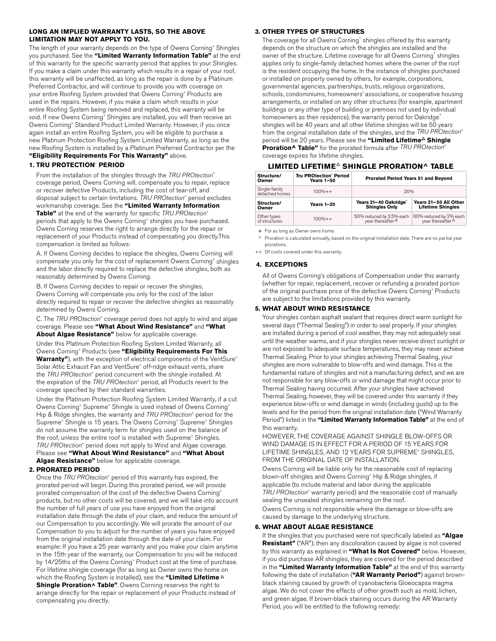#### **LONG AN IMPLIED WARRANTY LASTS, SO THE ABOVE LIMITATION MAY NOT APPLY TO YOU.**

The length of your warranty depends on the type of Owens Corning® Shingles you purchased. See the **"Limited Warranty Information Table"** at the end of this warranty for the specific warranty period that applies to your Shingles. If you make a claim under this warranty which results in a repair of your roof, this warranty will be unaffected, as long as the repair is done by a Platinum Preferred Contractor, and will continue to provide you with coverage on your entire Roofing System provided that Owens Corning® Products are used in the repairs. However, if you make a claim which results in your entire Roofing System being removed and replaced, this warranty will be void. If new Owens Corning® Shingles are installed, you will then receive an Owens Corning® Standard Product Limited Warranty. However, if you once again install an entire Roofing System, you will be eligible to purchase a new Platinum Protection Roofing System Limited Warranty, as long as the new Roofing System is installed by a Platinum Preferred Contractor per the **"Eligibility Requirements For This Warranty"** above.

# **1. TRU PROTECTION**®  **PERIOD**

From the installation of the shingles through the *TRU PROtection*® coverage period, Owens Corning will, compensate you to repair, replace or recover defective Products, including the cost of tear-off, and disposal subject to certain limitations. *TRU PROtection*® period excludes workmanship coverage. See the **"Limited Warranty Information Table"** at the end of the warranty for specific *TRU PROtection*® periods that apply to the Owens Corning® shingles you have purchased. Owens Corning reserves the right to arrange directly for the repair or

replacement of your Products instead of compensating you directly.This compensation is limited as follows:

A. If Owens Corning decides to replace the shingles, Owens Corning will compensate you only for the cost of replacement Owens Corning® shingles and the labor directly required to replace the defective shingles, both as reasonably determined by Owens Corning.

B. If Owens Corning decides to repair or recover the shingles, Owens Corning will compensate you only for the cost of the labor directly required to repair or recover the defective shingles as reasonably determined by Owens Corning.

C. The *TRU PROtection*® coverage period does not apply to wind and algae coverage. Please see **"What About Wind Resistance"** and **"What About Algae Resistance"** below for applicable coverage.

Under this Platinum Protection Roofing System Limited Warranty, all Owens Corning® Products (see **"Eligibility Requirements For This**  Warranty"), with the exception of electrical components of the VentSure<sup>®</sup> Solar Attic Exhaust Fan and VentSure® off-ridge exhaust vents, share the *TRU PROtection*® period concurrent with the shingle installed. At the expiration of the *TRU PROtection*® period, all Products revert to the coverage specified by their standard warranties.

Under the Platinum Protection Roofing System Limited Warranty, if a cut Owens Corning® Supreme® Shingle is used instead of Owens Corning® Hip & Ridge shingles, the warranty and *TRU PROtection*® period for the Supreme® Shingle is 15 years. The Owens Corning® Supreme® Shingles do not assume the warranty term for shingles used on the balance of the roof, unless the entire roof is installed with Supreme® Shingles. *TRU PROtection*® period does not apply to Wind and Algae coverage. Please see **"What About Wind Resistance"** and **"What About Algae Resistance"** below for applicable coverage.

#### **2. PRORATED PERIOD**

 Once the *TRU PROtection*® period of this warranty has expired, the prorated period will begin. During this prorated period, we will provide prorated compensation of the cost of the defective Owens Corning® products, but no other costs will be covered, and we will take into account the number of full years of use you have enjoyed from the original installation date through the date of your claim, and reduce the amount of our Compensation to you accordingly. We will prorate the amount of our Compensation to you to adjust for the number of years you have enjoyed from the original installation date through the date of your claim. For example: If you have a 25 year warranty and you make your claim anytime in the 15th year of the warranty, our Compensation to you will be reduced by 14/25ths of the Owens Corning<sup>®</sup> Product cost at the time of purchase. For lifetime shingle coverage (for as long as Owner owns the home on which the Roofing System is installed), see the **"Limited Lifetime Shingle Proration**^ **Table"**. Owens Corning reserves the right to arrange directly for the repair or replacement of your Products instead of compensating you directly.

# **3. OTHER TYPES OF STRUCTURES**

The coverage for all Owens Corning® shingles offered by this warranty depends on the structure on which the shingles are installed and the owner of the structure. Lifetime coverage for all Owens Corning® shingles applies only to single-family detached homes where the owner of the roof is the resident occupying the home. In the instance of shingles purchased or installed on property owned by others, for example, corporations, governmental agencies, partnerships, trusts, religious organizations, schools, condominiums, homeowners' associations, or cooperative housing arrangements, or installed on any other structures (for example, apartment buildings or any other type of building or premises not used by individual homeowners as their residence), the warranty period for Oakridge® shingles will be 40 years and all other lifetime shingles will be 50 years from the original installation date of the shingles, and the *TRU PROtection*® period will be 20 years. Please see the **"Limited Lifetime Shingle Proration^ Table"** for the prorated formula after *TRU PROtection*® coverage expires for lifetime shingles.

# **LIMITED LIFETIME SHINGLE PRORATION**^ **TABLE**

| Structure/<br>Owner             | <b>Tru PROtection' Period</b><br><b>Years 1-50</b> | Prorated Period Years 51 and Beyond                |                                                     |  |  |  |  |
|---------------------------------|----------------------------------------------------|----------------------------------------------------|-----------------------------------------------------|--|--|--|--|
| Single-family<br>detached homes | $100% + +$                                         | 20%                                                |                                                     |  |  |  |  |
| Structure/<br>Owner             | Years 1-20                                         | Years 21-40 Oakridge®<br><b>Shingles Only</b>      | Years 21-50 All Other<br><b>Lifetime Shingles</b>   |  |  |  |  |
| Other types<br>of structures    | $100% + +$                                         | 50% reduced by 2.5% each year thereafter $\Lambda$ | 60% reduced by 2% each<br>year thereafter $\Lambda$ |  |  |  |  |

 $\triangle$  For as long as Owner owns home.

 $\land$  Proration is calculated annually, based on the original installation date. There are no partial year prorations.

++ Of costs covered under this warranty.

#### **4. EXCEPTIONS**

All of Owens Corning's obligations of Compensation under this warranty (whether for repair, replacement, recover or refunding a prorated portion of the original purchase price of the defective Owens Corning® Products are subject to the limitations provided by this warranty.

### **5. WHAT ABOUT WIND RESISTANCE**

Your shingles contain asphalt sealant that requires direct warm sunlight for several days ("Thermal Sealing") in order to seal properly. If your shingles are installed during a period of cool weather, they may not adequately seal until the weather warms, and if your shingles never receive direct sunlight or are not exposed to adequate surface temperatures, they may never achieve Thermal Sealing. Prior to your shingles achieving Thermal Sealing, your shingles are more vulnerable to blow-offs and wind damage. This is the fundamental nature of shingles and not a manufacturing defect, and we are not responsible for any blow-offs or wind damage that might occur prior to Thermal Sealing having occurred. After your shingles have achieved Thermal Sealing, however, they will be covered under this warranty if they experience blow-offs or wind damage in winds (including gusts) up to the levels and for the period from the original installation date ("Wind Warranty Period") listed in the **"Limited Warranty Information Table"** at the end of this warranty.

HOWEVER, THE COVERAGE AGAINST SHINGLE BLOW-OFFS OR WIND DAMAGE IS IN EFFECT FOR A PERIOD OF 15 YEARS FOR LIFETIME SHINGLES, AND 12 YEARS FOR SUPREME® SHINGLES, FROM THE ORIGINAL DATE OF INSTALLATION.

Owens Corning will be liable only for the reasonable cost of replacing blown-off shingles and Owens Corning® Hip & Ridge shingles, if applicable (to include material and labor during the applicable *TRU PROtection*® warranty period) and the reasonable cost of manually sealing the unsealed shingles remaining on the roof.

Owens Corning is not responsible where the damage or blow-offs are caused by damage to the underlying structure.

#### **6. WHAT ABOUT ALGAE RESISTANCE**

If the shingles that you purchased were not specifically labeled as **"Algae Resistant"** ("AR"), then any discoloration caused by algae is not covered by this warranty as explained in **"What Is Not Covered"** below. However, if you did purchase AR shingles, they are covered for the period described in the **"Limited Warranty Information Table"** at the end of this warranty following the date of installation (**"AR Warranty Period"**) against brownblack staining caused by growth of cyanobacteria Gloeocapsa magma algae. We do not cover the effects of other growth such as mold, lichen, and green algae. If brown-black staining occurs during the AR Warranty Period, you will be entitled to the following remedy: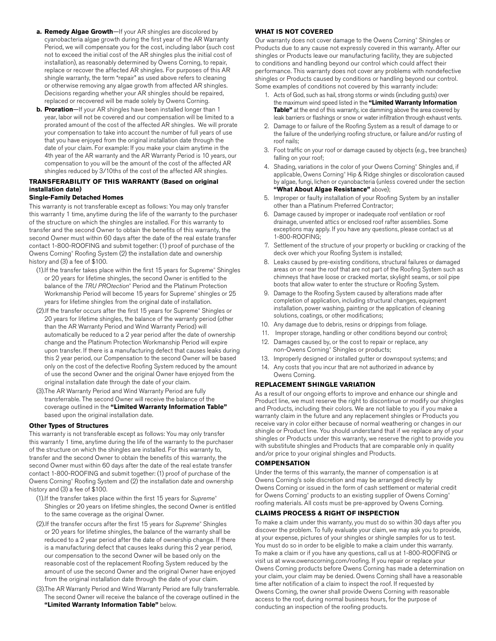- **a. Remedy Algae Growth**—If your AR shingles are discolored by cyanobacteria algae growth during the first year of the AR Warranty Period, we will compensate you for the cost, including labor (such cost not to exceed the initial cost of the AR shingles plus the initial cost of installation), as reasonably determined by Owens Corning, to repair, replace or recover the affected AR shingles. For purposes of this AR shingle warranty, the term "repair" as used above refers to cleaning or otherwise removing any algae growth from affected AR shingles. Decisions regarding whether your AR shingles should be repaired, replaced or recovered will be made solely by Owens Corning.
- **b. Proration**—If your AR shingles have been installed longer than 1 year, labor will not be covered and our compensation will be limited to a prorated amount of the cost of the affected AR shingles. We will prorate your compensation to take into account the number of full years of use that you have enjoyed from the original installation date through the date of your claim. For example: If you make your claim anytime in the 4th year of the AR warranty and the AR Warranty Period is 10 years, our compensation to you will be the amount of the cost of the affected AR shingles reduced by 3/10ths of the cost of the affected AR shingles.

# **TRANSFERABILITY OF THIS WARRANTY (Based on original installation date)**

### **Single-Family Detached Homes**

This warranty is not transferable except as follows: You may only transfer this warranty 1 time, anytime during the life of the warranty to the purchaser of the structure on which the shingles are installed. For this warranty to transfer and the second Owner to obtain the benefits of this warranty, the second Owner must within 60 days after the date of the real estate transfer contact 1-800-ROOFING and submit together: (1) proof of purchase of the Owens Corning® Roofing System (2) the installation date and ownership history and (3) a fee of \$100.

- (1).If the transfer takes place within the first 15 years for Supreme® Shingles or 20 years for lifetime shingles, the second Owner is entitled to the balance of the TRU PROtection<sup>®</sup> Period and the Platinum Protection Workmanship Period will become 15 years for Supreme® shingles or 25 years for lifetime shingles from the original date of installation.
- (2).If the transfer occurs after the first 15 years for Supreme® Shingles or 20 years for lifetime shingles, the balance of the warranty period (other than the AR Warranty Period and Wind Warranty Period) will automatically be reduced to a 2 year period after the date of ownership change and the Platinum Protection Workmanship Period will expire upon transfer. If there is a manufacturing defect that causes leaks during this 2 year period, our Compensation to the second Owner will be based only on the cost of the defective Roofing System reduced by the amount of use the second Owner and the original Owner have enjoyed from the original installation date through the date of your claim.
- (3).The AR Warranty Period and Wind Warranty Period are fully transferrable. The second Owner will receive the balance of the coverage outlined in the **"Limited Warranty Information Table"** based upon the original installation date.

### **Other Types of Structures**

This warranty is not transferable except as follows: You may only transfer this warranty 1 time, anytime during the life of the warranty to the purchaser of the structure on which the shingles are installed. For this warranty to, transfer and the second Owner to obtain the benefits of this warranty, the second Owner must within 60 days after the date of the real estate transfer contact 1-800-ROOFING and submit together: (1) proof of purchase of the Owens Corning® Roofing System and (2) the installation date and ownership history and (3) a fee of \$100.

- (1).If the transfer takes place within the first 15 years for *Supreme*® Shingles or 20 years on lifetime shingles, the second Owner is entitled to the same coverage as the original Owner.
- (2).If the transfer occurs after the first 15 years for *Supreme*® Shingles or 20 years for lifetime shingles, the balance of the warranty shall be reduced to a 2 year period after the date of ownership change. If there is a manufacturing defect that causes leaks during this 2 year period, our compensation to the second Owner will be based only on the reasonable cost of the replacement Roofing System reduced by the amount of use the second Owner and the original Owner have enjoyed from the original installation date through the date of your claim.
- (3).The AR Warranty Period and Wind Warranty Period are fully transferrable. The second Owner will receive the balance of the coverage outlined in the **"Limited Warranty Information Table"** below.

## **WHAT IS NOT COVERED**

Our warranty does not cover damage to the Owens Corning® Shingles or Products due to any cause not expressly covered in this warranty. After our shingles or Products leave our manufacturing facility, they are subjected to conditions and handling beyond our control which could affect their performance. This warranty does not cover any problems with nondefective shingles or Products caused by conditions or handling beyond our control. Some examples of conditions not covered by this warranty include:

- 1. Acts of God, such as hail, strong storms or winds (including gusts) over the maximum wind speed listed in the **"Limited Warranty Information Table"** at the end of this warranty, ice damming above the area covered by leak barriers or flashings or snow or water infiltration through exhaust vents.
- 2. Damage to or failure of the Roofing System as a result of damage to or the failure of the underlying roofing structure, or failure and/or rusting of roof nails;
- 3. Foot traffic on your roof or damage caused by objects (e.g., tree branches) falling on your roof;
- 4. Shading, variations in the color of your Owens Corning® Shingles and, if applicable, Owens Corning® Hip & Ridge shingles or discoloration caused by algae, fungi, lichen or cyanobacteria (unless covered under the section **"What About Algae Resistance"** above);
- 5. Improper or faulty installation of your Roofing System by an installer other than a Platinum Preferred Contractor;
- 6. Damage caused by improper or inadequate roof ventilation or roof drainage, unvented attics or enclosed roof rafter assemblies. Some exceptions may apply. If you have any questions, please contact us at 1-800-ROOFING;
- 7. Settlement of the structure of your property or buckling or cracking of the deck over which your Roofing System is installed;
- 8. Leaks caused by pre-existing conditions, structural failures or damaged areas on or near the roof that are not part of the Roofing System such as chimneys that have loose or cracked mortar, skylight seams, or soil pipe boots that allow water to enter the structure or Roofing System.
- 9. Damage to the Roofing System caused by alterations made after completion of application, including structural changes, equipment installation, power washing, painting or the application of cleaning solutions, coatings, or other modifications;
- 10. Any damage due to debris, resins or drippings from foliage.
- 11. Improper storage, handling or other conditions beyond our control;
- 12. Damages caused by, or the cost to repair or replace, any non-Owens Corning® Shingles or products;
- 13. Improperly designed or installed gutter or downspout systems; and
- 14. Any costs that you incur that are not authorized in advance by

#### Owens Corning. **REPLACEMENT SHINGLE VARIATION**

As a result of our ongoing efforts to improve and enhance our shingle and Product line, we must reserve the right to discontinue or modify our shingles and Products, including their colors. We are not liable to you if you make a warranty claim in the future and any replacement shingles or Products you receive vary in color either because of normal weathering or changes in our shingle or Product line. You should understand that if we replace any of your shingles or Products under this warranty, we reserve the right to provide you with substitute shingles and Products that are comparable only in quality and/or price to your original shingles and Products.

#### **COMPENSATION**

Under the terms of this warranty, the manner of compensation is at Owens Corning's sole discretion and may be arranged directly by Owens Corning or issued in the form of cash settlement or material credit for Owens Corning® products to an existing supplier of Owens Corning® roofing materials. All costs must be pre-approved by Owens Corning.

#### **CLAIMS PROCESS & RIGHT OF INSPECTION**

To make a claim under this warranty, you must do so within 30 days after you discover the problem. To fully evaluate your claim, we may ask you to provide, at your expense, pictures of your shingles or shingle samples for us to test. You must do so in order to be eligible to make a claim under this warranty. To make a claim or if you have any questions, call us at 1-800-ROOFING or visit us at www.owenscorning.com/roofing. If you repair or replace your Owens Corning products before Owens Corning has made a determination on your claim, your claim may be denied. Owens Corning shall have a reasonable time after notification of a claim to inspect the roof. If requested by Owens Corning, the owner shall provide Owens Corning with reasonable access to the roof, during normal business hours, for the purpose of conducting an inspection of the roofing products.